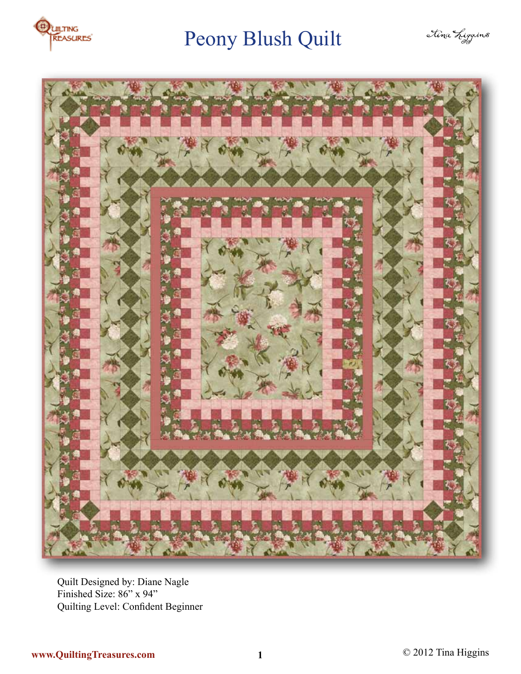





Quilt Designed by: Diane Nagle Finished Size: 86" x 94" Quilting Level: Confident Beginner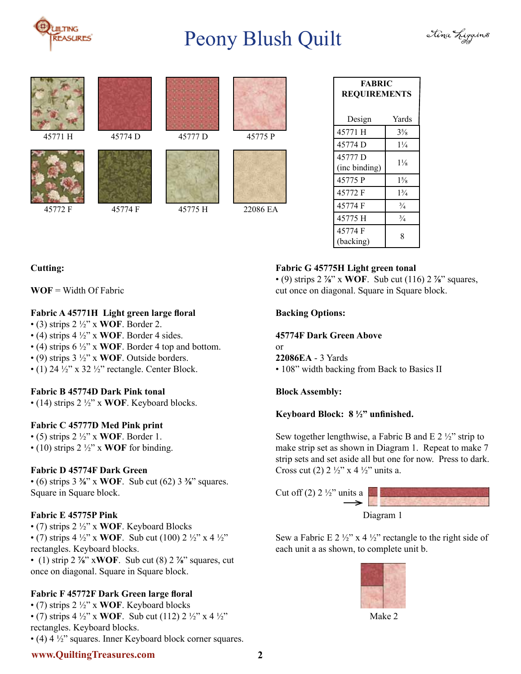















45774 D 45777 D 45775 P



| <b>FABRIC</b><br><b>REQUIREMENTS</b> |                |
|--------------------------------------|----------------|
| Design                               | Yards          |
| 45771 H                              | $3\frac{5}{8}$ |
| 45774 D                              | $1\frac{1}{4}$ |
| 45777 D<br>(inc binding)             | $1\frac{1}{8}$ |
| 45775 P                              | $1\frac{5}{8}$ |
| 45772 F                              | $1\frac{3}{4}$ |
| 45774 F                              | $\frac{3}{4}$  |
| 45775 H                              | $\frac{3}{4}$  |
| 45774 F<br>(backing)                 | 8              |

# **Fabric G 45775H Light green tonal**

• (9) strips 2 **⅞**" x **WOF**. Sub cut (116) 2 **⅞**" squares, cut once on diagonal. Square in Square block.

## **Backing Options:**

#### **45774F Dark Green Above**

or **22086EA** - 3 Yards

• 108" width backing from Back to Basics II

## **Block Assembly:**

## **Keyboard Block: 8 ½" unfinished.**

Sew together lengthwise, a Fabric B and E  $2\frac{1}{2}$ " strip to make strip set as shown in Diagram 1. Repeat to make 7 strip sets and set aside all but one for now. Press to dark. Cross cut (2)  $2 \frac{1}{2}$ " x 4  $\frac{1}{2}$ " units a.



Sew a Fabric E 2  $\frac{1}{2}$ " x 4  $\frac{1}{2}$ " rectangle to the right side of each unit a as shown, to complete unit b.



Make 2

# **Cutting:**

**WOF** = Width Of Fabric

# **Fabric A 45771H Light green large floral**

- (3) strips 2 ½" x **WOF**. Border 2.
- (4) strips 4 ½" x **WOF**. Border 4 sides.
- (4) strips 6 ½" x **WOF**. Border 4 top and bottom.
- (9) strips 3 ½" x **WOF**. Outside borders.
- (1) 24  $\frac{1}{2}$ " x 32  $\frac{1}{2}$ " rectangle. Center Block.

## **Fabric B 45774D Dark Pink tonal**

• (14) strips 2 ½" x **WOF**. Keyboard blocks.

## **Fabric C 45777D Med Pink print**

• (5) strips 2 ½" x **WOF**. Border 1. • (10) strips 2 ½" x **WOF** for binding.

# **Fabric D 45774F Dark Green**

• (6) strips 3 **⅜**" x **WOF**. Sub cut (62) 3 **⅜**" squares. Square in Square block.

# **Fabric E 45775P Pink**

• (7) strips 2 ½" x **WOF**. Keyboard Blocks • (7) strips  $4\frac{1}{2}$ " x **WOF**. Sub cut (100)  $2\frac{1}{2}$ " x  $4\frac{1}{2}$ " rectangles. Keyboard blocks. • (1) strip 2 **⅞**" x**WOF**. Sub cut (8) 2 **⅞**" squares, cut

once on diagonal. Square in Square block.

# **Fabric F 45772F Dark Green large floral**

• (7) strips 2 ½" x **WOF**. Keyboard blocks • (7) strips  $4\frac{1}{2}$ " x **WOF**. Sub cut (112)  $2\frac{1}{2}$ " x  $4\frac{1}{2}$ " rectangles. Keyboard blocks. • (4) 4 ½" squares. Inner Keyboard block corner squares.

# **www.QuiltingTreasures.com 2**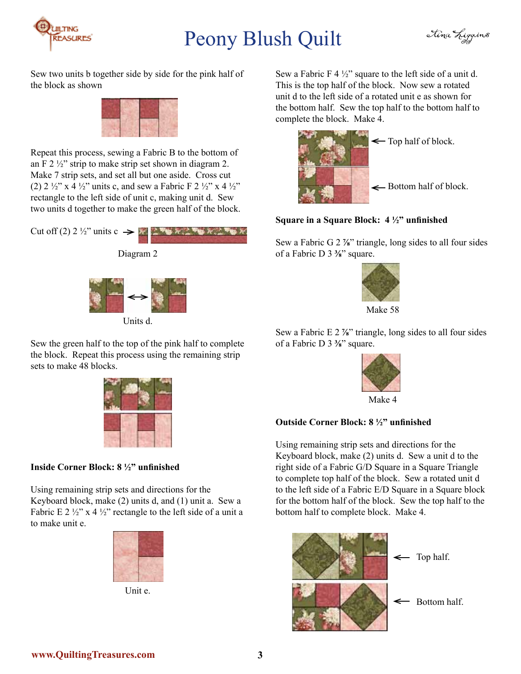



Sew two units b together side by side for the pink half of the block as shown



Repeat this process, sewing a Fabric B to the bottom of an F 2  $\frac{1}{2}$ " strip to make strip set shown in diagram 2. Make 7 strip sets, and set all but one aside. Cross cut (2)  $2 \frac{1}{2}$ " x 4  $\frac{1}{2}$ " units c, and sew a Fabric F  $2 \frac{1}{2}$ " x 4  $\frac{1}{2}$ " rectangle to the left side of unit c, making unit d. Sew two units d together to make the green half of the block.



Sew the green half to the top of the pink half to complete the block. Repeat this process using the remaining strip sets to make 48 blocks.



# **Inside Corner Block: 8 ½" unfinished**

Using remaining strip sets and directions for the Keyboard block, make (2) units d, and (1) unit a. Sew a Fabric E 2  $\frac{1}{2}$ " x 4  $\frac{1}{2}$ " rectangle to the left side of a unit a to make unit e.



Unit e.

Sew a Fabric F 4  $\frac{1}{2}$ " square to the left side of a unit d. This is the top half of the block. Now sew a rotated unit d to the left side of a rotated unit e as shown for the bottom half. Sew the top half to the bottom half to complete the block. Make 4.



Bottom half of block.

## **Square in a Square Block: 4 ½" unfinished**

Sew a Fabric G 2 **⅞**" triangle, long sides to all four sides of a Fabric D 3 **⅜**" square.



Sew a Fabric E 2 **⅞**" triangle, long sides to all four sides of a Fabric D 3 **⅜**" square.



## **Outside Corner Block: 8 ½" unfinished**

Using remaining strip sets and directions for the Keyboard block, make (2) units d. Sew a unit d to the right side of a Fabric G/D Square in a Square Triangle to complete top half of the block. Sew a rotated unit d to the left side of a Fabric E/D Square in a Square block for the bottom half of the block. Sew the top half to the bottom half to complete block. Make 4.